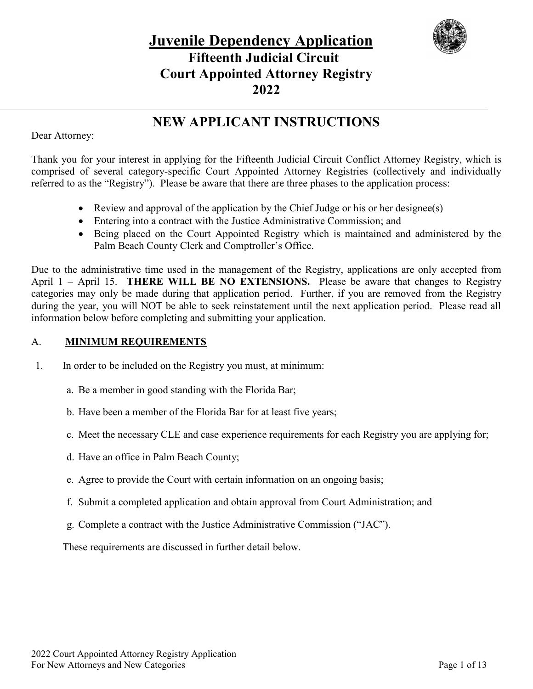

# **NEW APPLICANT INSTRUCTIONS**

Dear Attorney:

Thank you for your interest in applying for the Fifteenth Judicial Circuit Conflict Attorney Registry, which is comprised of several category-specific Court Appointed Attorney Registries (collectively and individually referred to as the "Registry"). Please be aware that there are three phases to the application process:

- Review and approval of the application by the Chief Judge or his or her designee(s)
- Entering into a contract with the Justice Administrative Commission; and
- Being placed on the Court Appointed Registry which is maintained and administered by the Palm Beach County Clerk and Comptroller's Office.

Due to the administrative time used in the management of the Registry, applications are only accepted from April 1 – April 15. **THERE WILL BE NO EXTENSIONS.** Please be aware that changes to Registry categories may only be made during that application period. Further, if you are removed from the Registry during the year, you will NOT be able to seek reinstatement until the next application period. Please read all information below before completing and submitting your application.

#### A. **MINIMUM REQUIREMENTS**

1. In order to be included on the Registry you must, at minimum:

- a. Be a member in good standing with the Florida Bar;
- b. Have been a member of the Florida Bar for at least five years;
- c. Meet the necessary CLE and case experience requirements for each Registry you are applying for;
- d. Have an office in Palm Beach County;
- e. Agree to provide the Court with certain information on an ongoing basis;
- f. Submit a completed application and obtain approval from Court Administration; and
- g. Complete a contract with the Justice Administrative Commission ("JAC").

These requirements are discussed in further detail below.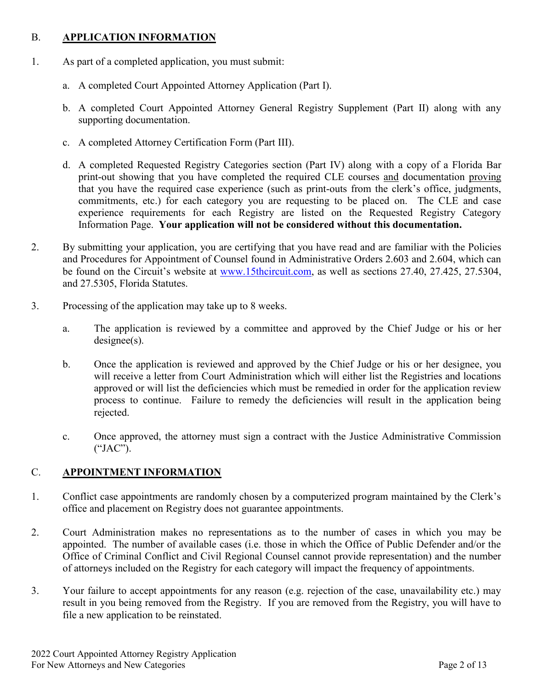### B. **APPLICATION INFORMATION**

- 1. As part of a completed application, you must submit:
	- a. A completed Court Appointed Attorney Application (Part I).
	- b. A completed Court Appointed Attorney General Registry Supplement (Part II) along with any supporting documentation.
	- c. A completed Attorney Certification Form (Part III).
	- d. A completed Requested Registry Categories section (Part IV) along with a copy of a Florida Bar print-out showing that you have completed the required CLE courses and documentation proving that you have the required case experience (such as print-outs from the clerk's office, judgments, commitments, etc.) for each category you are requesting to be placed on. The CLE and case experience requirements for each Registry are listed on the Requested Registry Category Information Page. **Your application will not be considered without this documentation.**
- 2. By submitting your application, you are certifying that you have read and are familiar with the Policies and Procedures for Appointment of Counsel found in Administrative Orders 2.603 and 2.604, which can be found on the Circuit's website at [www.15thcircuit.com,](http://www.15thcircuit.com/) as well as sections 27.40, 27.425, 27.5304, and 27.5305, Florida Statutes.
- 3. Processing of the application may take up to 8 weeks.
	- a. The application is reviewed by a committee and approved by the Chief Judge or his or her designee(s).
	- b. Once the application is reviewed and approved by the Chief Judge or his or her designee, you will receive a letter from Court Administration which will either list the Registries and locations approved or will list the deficiencies which must be remedied in order for the application review process to continue. Failure to remedy the deficiencies will result in the application being rejected.
	- c. Once approved, the attorney must sign a contract with the Justice Administrative Commission ("JAC").

### C. **APPOINTMENT INFORMATION**

- 1. Conflict case appointments are randomly chosen by a computerized program maintained by the Clerk's office and placement on Registry does not guarantee appointments.
- 2. Court Administration makes no representations as to the number of cases in which you may be appointed. The number of available cases (i.e. those in which the Office of Public Defender and/or the Office of Criminal Conflict and Civil Regional Counsel cannot provide representation) and the number of attorneys included on the Registry for each category will impact the frequency of appointments.
- 3. Your failure to accept appointments for any reason (e.g. rejection of the case, unavailability etc.) may result in you being removed from the Registry. If you are removed from the Registry, you will have to file a new application to be reinstated.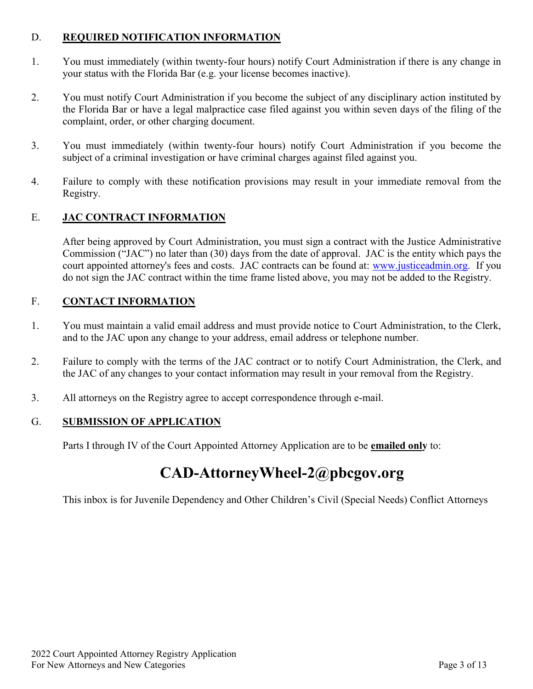### D. **REQUIRED NOTIFICATION INFORMATION**

- 1. You must immediately (within twenty-four hours) notify Court Administration if there is any change in your status with the Florida Bar (e.g. your license becomes inactive).
- 2. You must notify Court Administration if you become the subject of any disciplinary action instituted by the Florida Bar or have a legal malpractice case filed against you within seven days of the filing of the complaint, order, or other charging document.
- 3. You must immediately (within twenty-four hours) notify Court Administration if you become the subject of a criminal investigation or have criminal charges against filed against you.
- 4. Failure to comply with these notification provisions may result in your immediate removal from the Registry.

### E. **JAC CONTRACT INFORMATION**

After being approved by Court Administration, you must sign a contract with the Justice Administrative Commission ("JAC") no later than (30) days from the date of approval. JAC is the entity which pays the court appointed attorney's fees and costs. JAC contracts can be found at: [www.justiceadmin.org.](http://www.justiceadmin.org/) If you do not sign the JAC contract within the time frame listed above, you may not be added to the Registry.

### F. **CONTACT INFORMATION**

- 1. You must maintain a valid email address and must provide notice to Court Administration, to the Clerk, and to the JAC upon any change to your address, email address or telephone number.
- 2. Failure to comply with the terms of the JAC contract or to notify Court Administration, the Clerk, and the JAC of any changes to your contact information may result in your removal from the Registry.
- 3. All attorneys on the Registry agree to accept correspondence through e-mail.

### G. **SUBMISSION OF APPLICATION**

Parts I through IV of the Court Appointed Attorney Application are to be **emailed only** to:

# **CAD-AttorneyWheel-2@pbcgov.org**

This inbox is for Juvenile Dependency and Other Children's Civil (Special Needs) Conflict Attorneys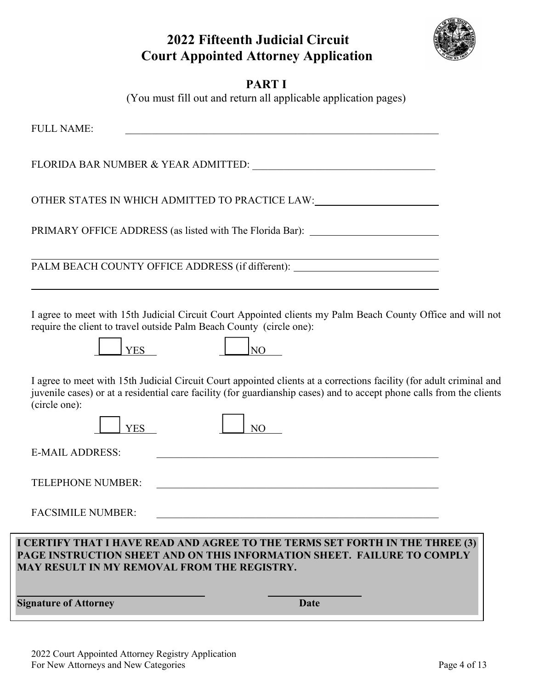# **2022 Fifteenth Judicial Circuit Court Appointed Attorney Application**



### **PART I**

(You must fill out and return all applicable application pages)

| Date                                                                                                                                            |                                                                                                                                                                                                                                                                                                                                                                                                                                                                                                                                                                                                                                                                                                                                                                                                                                   |
|-------------------------------------------------------------------------------------------------------------------------------------------------|-----------------------------------------------------------------------------------------------------------------------------------------------------------------------------------------------------------------------------------------------------------------------------------------------------------------------------------------------------------------------------------------------------------------------------------------------------------------------------------------------------------------------------------------------------------------------------------------------------------------------------------------------------------------------------------------------------------------------------------------------------------------------------------------------------------------------------------|
|                                                                                                                                                 |                                                                                                                                                                                                                                                                                                                                                                                                                                                                                                                                                                                                                                                                                                                                                                                                                                   |
| <b>FACSIMILE NUMBER:</b>                                                                                                                        |                                                                                                                                                                                                                                                                                                                                                                                                                                                                                                                                                                                                                                                                                                                                                                                                                                   |
| <b>TELEPHONE NUMBER:</b>                                                                                                                        |                                                                                                                                                                                                                                                                                                                                                                                                                                                                                                                                                                                                                                                                                                                                                                                                                                   |
| <b>E-MAIL ADDRESS:</b><br><u> 1989 - Paris Alexandri, prima matematika eta programa eta programa eta programa eta programa eta programa eta</u> |                                                                                                                                                                                                                                                                                                                                                                                                                                                                                                                                                                                                                                                                                                                                                                                                                                   |
| (circle one):<br><b>YES</b><br>N <sub>O</sub>                                                                                                   |                                                                                                                                                                                                                                                                                                                                                                                                                                                                                                                                                                                                                                                                                                                                                                                                                                   |
| <b>NO</b><br><b>YES</b>                                                                                                                         |                                                                                                                                                                                                                                                                                                                                                                                                                                                                                                                                                                                                                                                                                                                                                                                                                                   |
| require the client to travel outside Palm Beach County (circle one):                                                                            |                                                                                                                                                                                                                                                                                                                                                                                                                                                                                                                                                                                                                                                                                                                                                                                                                                   |
|                                                                                                                                                 |                                                                                                                                                                                                                                                                                                                                                                                                                                                                                                                                                                                                                                                                                                                                                                                                                                   |
|                                                                                                                                                 |                                                                                                                                                                                                                                                                                                                                                                                                                                                                                                                                                                                                                                                                                                                                                                                                                                   |
|                                                                                                                                                 |                                                                                                                                                                                                                                                                                                                                                                                                                                                                                                                                                                                                                                                                                                                                                                                                                                   |
| FLORIDA BAR NUMBER & YEAR ADMITTED:                                                                                                             |                                                                                                                                                                                                                                                                                                                                                                                                                                                                                                                                                                                                                                                                                                                                                                                                                                   |
| <b>FULL NAME:</b><br><u> 1989 - Johann John Stein, markin fan it ferskearre fan it ferskearre fan it ferskearre fan it ferskearre fan</u>       |                                                                                                                                                                                                                                                                                                                                                                                                                                                                                                                                                                                                                                                                                                                                                                                                                                   |
|                                                                                                                                                 | OTHER STATES IN WHICH ADMITTED TO PRACTICE LAW:<br>PRIMARY OFFICE ADDRESS (as listed with The Florida Bar): _______________________<br>PALM BEACH COUNTY OFFICE ADDRESS (if different): _______________________________<br>I agree to meet with 15th Judicial Circuit Court Appointed clients my Palm Beach County Office and will not<br>I agree to meet with 15th Judicial Circuit Court appointed clients at a corrections facility (for adult criminal and<br>juvenile cases) or at a residential care facility (for guardianship cases) and to accept phone calls from the clients<br>I CERTIFY THAT I HAVE READ AND AGREE TO THE TERMS SET FORTH IN THE THREE (3)<br>PAGE INSTRUCTION SHEET AND ON THIS INFORMATION SHEET. FAILURE TO COMPLY<br>MAY RESULT IN MY REMOVAL FROM THE REGISTRY.<br><b>Signature of Attorney</b> |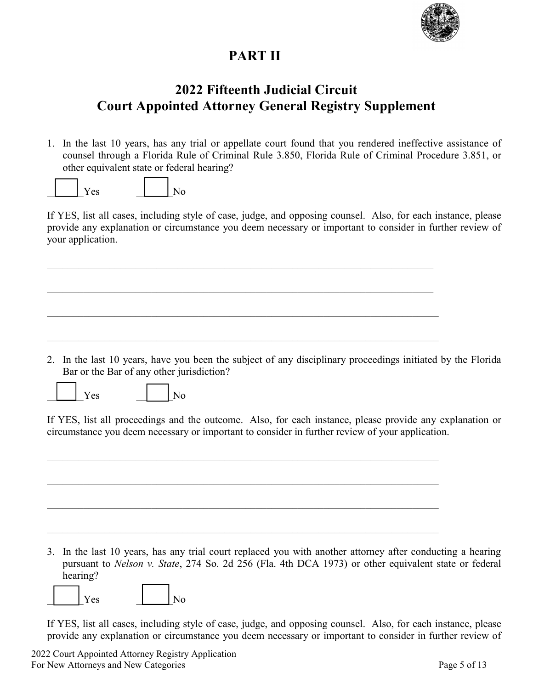

# **PART II**

# **2022 Fifteenth Judicial Circuit Court Appointed Attorney General Registry Supplement**

1. In the last 10 years, has any trial or appellate court found that you rendered ineffective assistance of counsel through a Florida Rule of Criminal Rule 3.850, Florida Rule of Criminal Procedure 3.851, or other equivalent state or federal hearing?



If YES, list all cases, including style of case, judge, and opposing counsel. Also, for each instance, please provide any explanation or circumstance you deem necessary or important to consider in further review of your application.

2. In the last 10 years, have you been the subject of any disciplinary proceedings initiated by the Florida Bar or the Bar of any other jurisdiction?

Yes  $\vert$  | No

If YES, list all proceedings and the outcome. Also, for each instance, please provide any explanation or circumstance you deem necessary or important to consider in further review of your application.

 $\mathcal{L}_\mathcal{L} = \mathcal{L}_\mathcal{L} = \mathcal{L}_\mathcal{L} = \mathcal{L}_\mathcal{L} = \mathcal{L}_\mathcal{L} = \mathcal{L}_\mathcal{L} = \mathcal{L}_\mathcal{L} = \mathcal{L}_\mathcal{L} = \mathcal{L}_\mathcal{L} = \mathcal{L}_\mathcal{L} = \mathcal{L}_\mathcal{L} = \mathcal{L}_\mathcal{L} = \mathcal{L}_\mathcal{L} = \mathcal{L}_\mathcal{L} = \mathcal{L}_\mathcal{L} = \mathcal{L}_\mathcal{L} = \mathcal{L}_\mathcal{L}$ 

3. In the last 10 years, has any trial court replaced you with another attorney after conducting a hearing pursuant to *Nelson v. State*, 274 So. 2d 256 (Fla. 4th DCA 1973) or other equivalent state or federal hearing?

\_\_\_\_\_\_\_Yes \_\_\_\_\_\_\_No

If YES, list all cases, including style of case, judge, and opposing counsel. Also, for each instance, please provide any explanation or circumstance you deem necessary or important to consider in further review of

2022 Court Appointed Attorney Registry Application For New Attorneys and New Categories Page 5 of 13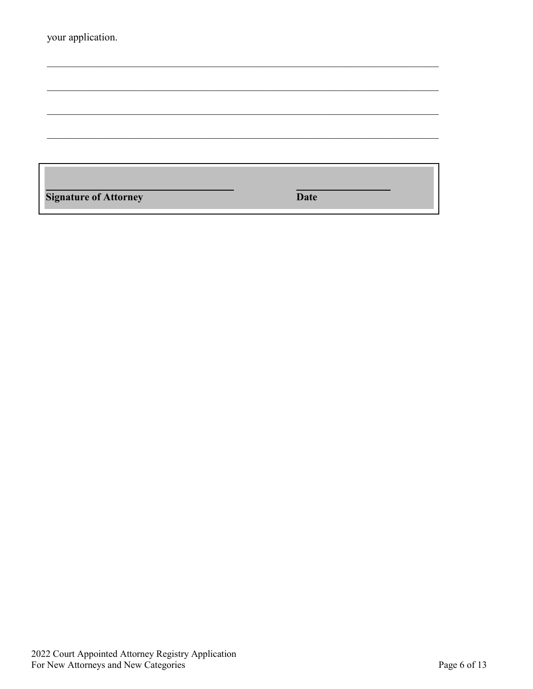| your application.            |             |
|------------------------------|-------------|
|                              |             |
|                              |             |
|                              |             |
|                              |             |
|                              |             |
| <b>Signature of Attorney</b> | <b>Date</b> |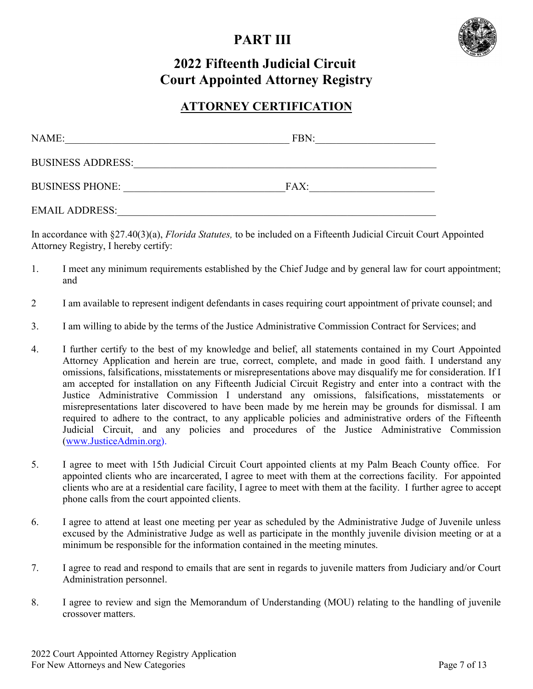# **PART III**



# **2022 Fifteenth Judicial Circuit Court Appointed Attorney Registry**

### **ATTORNEY CERTIFICATION**

| NAME:                    | FBN: |  |
|--------------------------|------|--|
| <b>BUSINESS ADDRESS:</b> |      |  |
| <b>BUSINESS PHONE:</b>   | FAX: |  |
| <b>EMAIL ADDRESS:</b>    |      |  |

In accordance with §27.40(3)(a), *Florida Statutes,* to be included on a Fifteenth Judicial Circuit Court Appointed Attorney Registry, I hereby certify:

- 1. I meet any minimum requirements established by the Chief Judge and by general law for court appointment; and
- 2 I am available to represent indigent defendants in cases requiring court appointment of private counsel; and
- 3. I am willing to abide by the terms of the Justice Administrative Commission Contract for Services; and
- 4. I further certify to the best of my knowledge and belief, all statements contained in my Court Appointed Attorney Application and herein are true, correct, complete, and made in good faith. I understand any omissions, falsifications, misstatements or misrepresentations above may disqualify me for consideration. If I am accepted for installation on any Fifteenth Judicial Circuit Registry and enter into a contract with the Justice Administrative Commission I understand any omissions, falsifications, misstatements or misrepresentations later discovered to have been made by me herein may be grounds for dismissal. I am required to adhere to the contract, to any applicable policies and administrative orders of the Fifteenth Judicial Circuit, and any policies and procedures of the Justice Administrative Commission [\(www.JusticeAdmin.org\)](http://www.justiceadmin.org/).
- 5. I agree to meet with 15th Judicial Circuit Court appointed clients at my Palm Beach County office. For appointed clients who are incarcerated, I agree to meet with them at the corrections facility. For appointed clients who are at a residential care facility, I agree to meet with them at the facility. I further agree to accept phone calls from the court appointed clients.
- 6. I agree to attend at least one meeting per year as scheduled by the Administrative Judge of Juvenile unless excused by the Administrative Judge as well as participate in the monthly juvenile division meeting or at a minimum be responsible for the information contained in the meeting minutes.
- 7. I agree to read and respond to emails that are sent in regards to juvenile matters from Judiciary and/or Court Administration personnel.
- 8. I agree to review and sign the Memorandum of Understanding (MOU) relating to the handling of juvenile crossover matters.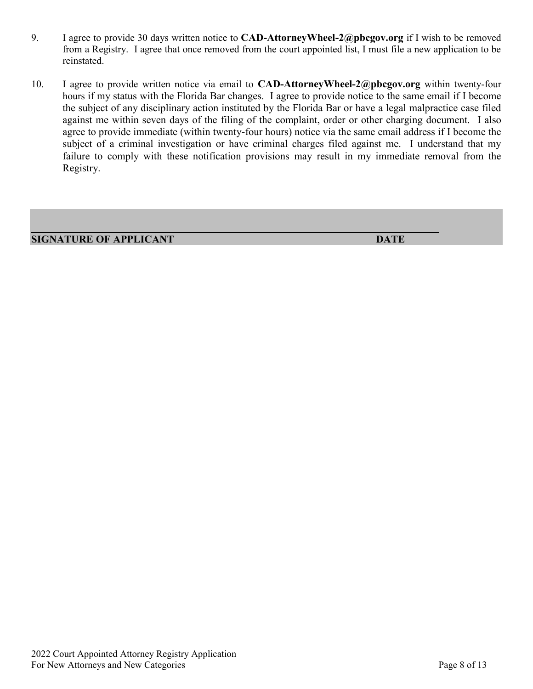- 9. I agree to provide 30 days written notice to **CAD-AttorneyWheel-2@pbcgov.org** if I wish to be removed from a Registry. I agree that once removed from the court appointed list, I must file a new application to be reinstated.
- 10. I agree to provide written notice via email to **CAD-AttorneyWheel-2@pbcgov.org** within twenty-four hours if my status with the Florida Bar changes. I agree to provide notice to the same email if I become the subject of any disciplinary action instituted by the Florida Bar or have a legal malpractice case filed against me within seven days of the filing of the complaint, order or other charging document. I also agree to provide immediate (within twenty-four hours) notice via the same email address if I become the subject of a criminal investigation or have criminal charges filed against me. I understand that my failure to comply with these notification provisions may result in my immediate removal from the Registry.

#### **SIGNATURE OF APPLICANT DATE**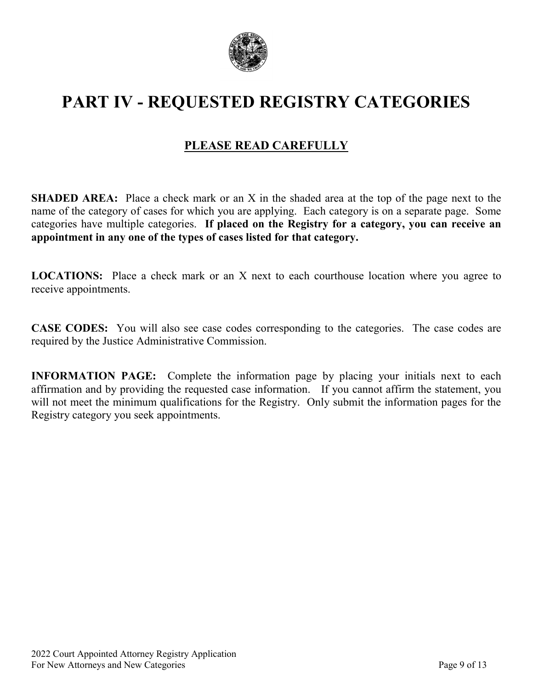

# **PART IV - REQUESTED REGISTRY CATEGORIES**

## **PLEASE READ CAREFULLY**

**SHADED AREA:** Place a check mark or an X in the shaded area at the top of the page next to the name of the category of cases for which you are applying. Each category is on a separate page. Some categories have multiple categories. **If placed on the Registry for a category, you can receive an appointment in any one of the types of cases listed for that category.**

**LOCATIONS:** Place a check mark or an X next to each courthouse location where you agree to receive appointments.

**CASE CODES:** You will also see case codes corresponding to the categories. The case codes are required by the Justice Administrative Commission.

**INFORMATION PAGE:** Complete the information page by placing your initials next to each affirmation and by providing the requested case information. If you cannot affirm the statement, you will not meet the minimum qualifications for the Registry. Only submit the information pages for the Registry category you seek appointments.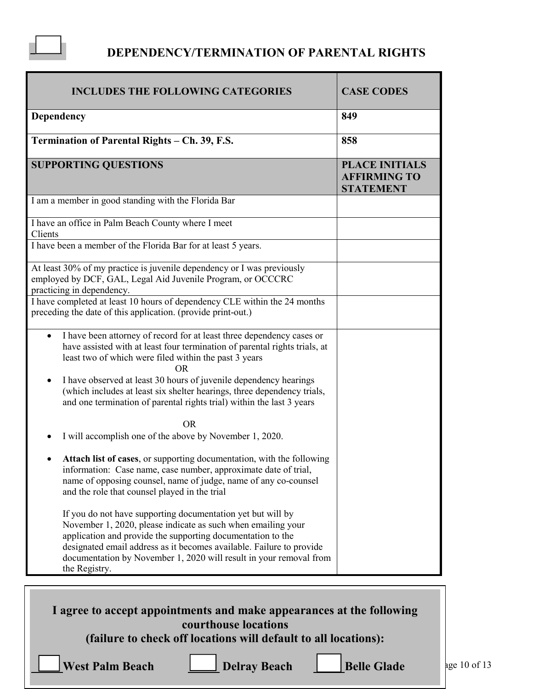### **DEPENDENCY/TERMINATION OF PARENTAL RIGHTS**

| <b>INCLUDES THE FOLLOWING CATEGORIES</b>                                                                                                                                                                                                                                                                                                                  | <b>CASE CODES</b>                                                |
|-----------------------------------------------------------------------------------------------------------------------------------------------------------------------------------------------------------------------------------------------------------------------------------------------------------------------------------------------------------|------------------------------------------------------------------|
| <b>Dependency</b>                                                                                                                                                                                                                                                                                                                                         | 849                                                              |
| Termination of Parental Rights - Ch. 39, F.S.                                                                                                                                                                                                                                                                                                             | 858                                                              |
| <b>SUPPORTING QUESTIONS</b>                                                                                                                                                                                                                                                                                                                               | <b>PLACE INITIALS</b><br><b>AFFIRMING TO</b><br><b>STATEMENT</b> |
| I am a member in good standing with the Florida Bar                                                                                                                                                                                                                                                                                                       |                                                                  |
| I have an office in Palm Beach County where I meet<br>Clients                                                                                                                                                                                                                                                                                             |                                                                  |
| I have been a member of the Florida Bar for at least 5 years.                                                                                                                                                                                                                                                                                             |                                                                  |
| At least 30% of my practice is juvenile dependency or I was previously<br>employed by DCF, GAL, Legal Aid Juvenile Program, or OCCCRC<br>practicing in dependency.                                                                                                                                                                                        |                                                                  |
| I have completed at least 10 hours of dependency CLE within the 24 months<br>preceding the date of this application. (provide print-out.)                                                                                                                                                                                                                 |                                                                  |
| I have been attorney of record for at least three dependency cases or<br>have assisted with at least four termination of parental rights trials, at<br>least two of which were filed within the past 3 years<br>0R                                                                                                                                        |                                                                  |
| I have observed at least 30 hours of juvenile dependency hearings<br>(which includes at least six shelter hearings, three dependency trials,<br>and one termination of parental rights trial) within the last 3 years                                                                                                                                     |                                                                  |
| <b>OR</b><br>I will accomplish one of the above by November 1, 2020.                                                                                                                                                                                                                                                                                      |                                                                  |
| Attach list of cases, or supporting documentation, with the following<br>information: Case name, case number, approximate date of trial,<br>name of opposing counsel, name of judge, name of any co-counsel<br>and the role that counsel played in the trial                                                                                              |                                                                  |
| If you do not have supporting documentation yet but will by<br>November 1, 2020, please indicate as such when emailing your<br>application and provide the supporting documentation to the<br>designated email address as it becomes available. Failure to provide<br>documentation by November 1, 2020 will result in your removal from<br>the Registry. |                                                                  |
| I agree to accept appointments and make appearances at the following<br>courthouse locations<br>(failure to check off locations will default to all locations):                                                                                                                                                                                           |                                                                  |

 $\overline{\phantom{a}}$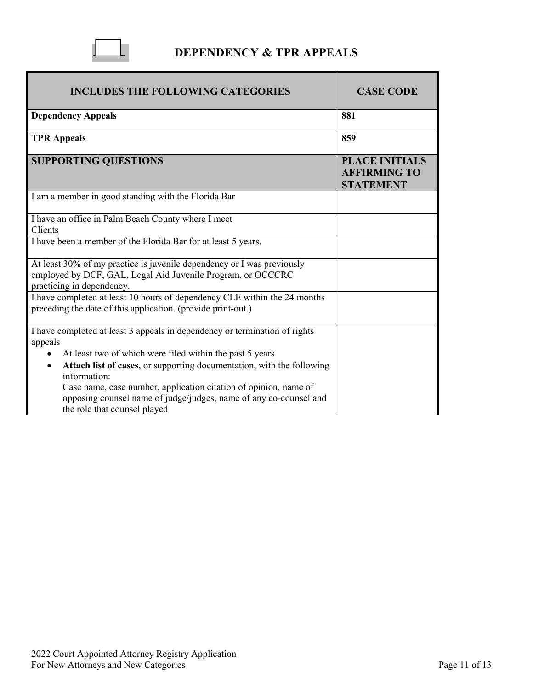### **DEPENDENCY & TPR APPEALS**

| <b>INCLUDES THE FOLLOWING CATEGORIES</b>                                                                                                                              | <b>CASE CODE</b>                                                 |
|-----------------------------------------------------------------------------------------------------------------------------------------------------------------------|------------------------------------------------------------------|
| <b>Dependency Appeals</b>                                                                                                                                             | 881                                                              |
| <b>TPR</b> Appeals                                                                                                                                                    | 859                                                              |
| <b>SUPPORTING QUESTIONS</b>                                                                                                                                           | <b>PLACE INITIALS</b><br><b>AFFIRMING TO</b><br><b>STATEMENT</b> |
| I am a member in good standing with the Florida Bar                                                                                                                   |                                                                  |
| I have an office in Palm Beach County where I meet<br>Clients                                                                                                         |                                                                  |
| I have been a member of the Florida Bar for at least 5 years.                                                                                                         |                                                                  |
| At least 30% of my practice is juvenile dependency or I was previously<br>employed by DCF, GAL, Legal Aid Juvenile Program, or OCCCRC<br>practicing in dependency.    |                                                                  |
| I have completed at least 10 hours of dependency CLE within the 24 months<br>preceding the date of this application. (provide print-out.)                             |                                                                  |
| I have completed at least 3 appeals in dependency or termination of rights<br>appeals                                                                                 |                                                                  |
| At least two of which were filed within the past 5 years                                                                                                              |                                                                  |
| Attach list of cases, or supporting documentation, with the following<br>$\bullet$<br>information:                                                                    |                                                                  |
| Case name, case number, application citation of opinion, name of<br>opposing counsel name of judge/judges, name of any co-counsel and<br>the role that counsel played |                                                                  |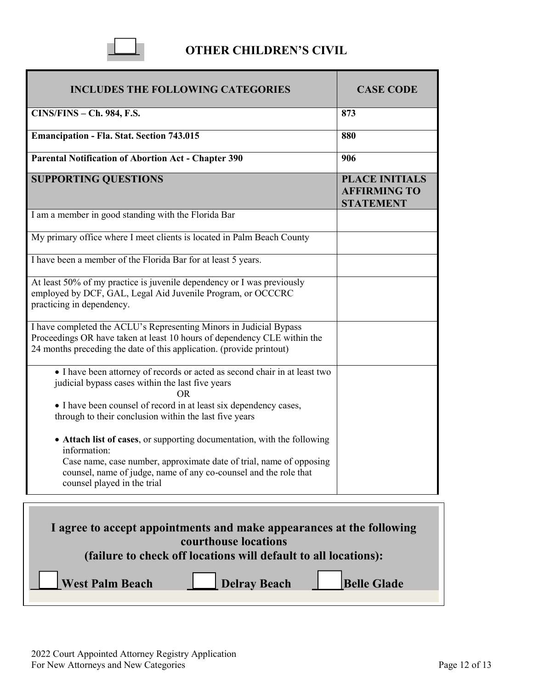### **OTHER CHILDREN'S CIVIL**

| <b>INCLUDES THE FOLLOWING CATEGORIES</b>                                                                                                                                                                                                                          | <b>CASE CODE</b>                                                 |  |
|-------------------------------------------------------------------------------------------------------------------------------------------------------------------------------------------------------------------------------------------------------------------|------------------------------------------------------------------|--|
| <b>CINS/FINS - Ch. 984, F.S.</b>                                                                                                                                                                                                                                  | 873                                                              |  |
| <b>Emancipation - Fla. Stat. Section 743.015</b>                                                                                                                                                                                                                  | 880                                                              |  |
| <b>Parental Notification of Abortion Act - Chapter 390</b>                                                                                                                                                                                                        | 906                                                              |  |
| <b>SUPPORTING QUESTIONS</b>                                                                                                                                                                                                                                       | <b>PLACE INITIALS</b><br><b>AFFIRMING TO</b><br><b>STATEMENT</b> |  |
| I am a member in good standing with the Florida Bar                                                                                                                                                                                                               |                                                                  |  |
| My primary office where I meet clients is located in Palm Beach County                                                                                                                                                                                            |                                                                  |  |
| I have been a member of the Florida Bar for at least 5 years.                                                                                                                                                                                                     |                                                                  |  |
| At least 50% of my practice is juvenile dependency or I was previously<br>employed by DCF, GAL, Legal Aid Juvenile Program, or OCCCRC<br>practicing in dependency.                                                                                                |                                                                  |  |
| I have completed the ACLU's Representing Minors in Judicial Bypass<br>Proceedings OR have taken at least 10 hours of dependency CLE within the<br>24 months preceding the date of this application. (provide printout)                                            |                                                                  |  |
| • I have been attorney of records or acted as second chair in at least two<br>judicial bypass cases within the last five years<br>OR.                                                                                                                             |                                                                  |  |
| • I have been counsel of record in at least six dependency cases,<br>through to their conclusion within the last five years                                                                                                                                       |                                                                  |  |
| • Attach list of cases, or supporting documentation, with the following<br>information:<br>Case name, case number, approximate date of trial, name of opposing<br>counsel, name of judge, name of any co-counsel and the role that<br>counsel played in the trial |                                                                  |  |
| I agree to accept appointments and make appearances at the following<br>courthouse locations<br>(failure to check off locations will default to all locations):                                                                                                   |                                                                  |  |
| <b>West Palm Beach</b><br><b>Delray Beach</b>                                                                                                                                                                                                                     | <b>Belle Glade</b>                                               |  |